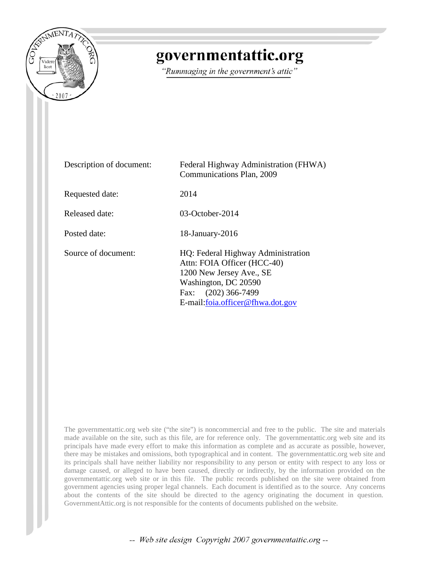

# governmentattic.org

"Rummaging in the government's attic"

| Description of document: | Federal Highway Administration (FHWA)<br>Communications Plan, 2009                                                                                                                |
|--------------------------|-----------------------------------------------------------------------------------------------------------------------------------------------------------------------------------|
| Requested date:          | 2014                                                                                                                                                                              |
| Released date:           | $03$ -October-2014                                                                                                                                                                |
| Posted date:             | 18-January-2016                                                                                                                                                                   |
| Source of document:      | HQ: Federal Highway Administration<br>Attn: FOIA Officer (HCC-40)<br>1200 New Jersey Ave., SE<br>Washington, DC 20590<br>Fax: (202) 366-7499<br>E-mail: foia.officer@fhwa.dot.gov |

The governmentattic.org web site ("the site") is noncommercial and free to the public. The site and materials made available on the site, such as this file, are for reference only. The governmentattic.org web site and its principals have made every effort to make this information as complete and as accurate as possible, however, there may be mistakes and omissions, both typographical and in content. The governmentattic.org web site and its principals shall have neither liability nor responsibility to any person or entity with respect to any loss or damage caused, or alleged to have been caused, directly or indirectly, by the information provided on the governmentattic.org web site or in this file. The public records published on the site were obtained from government agencies using proper legal channels. Each document is identified as to the source. Any concerns about the contents of the site should be directed to the agency originating the document in question. GovernmentAttic.org is not responsible for the contents of documents published on the website.

-- Web site design Copyright 2007 governmentattic.org --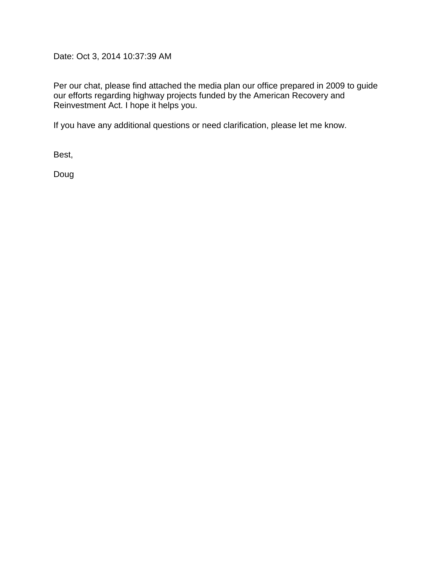Date: Oct 3, 2014 10:37:39 AM

Per our chat, please find attached the media plan our office prepared in 2009 to guide our efforts regarding highway projects funded by the American Recovery and Reinvestment Act. I hope it helps you.

If you have any additional questions or need clarification, please let me know.

Best,

Doug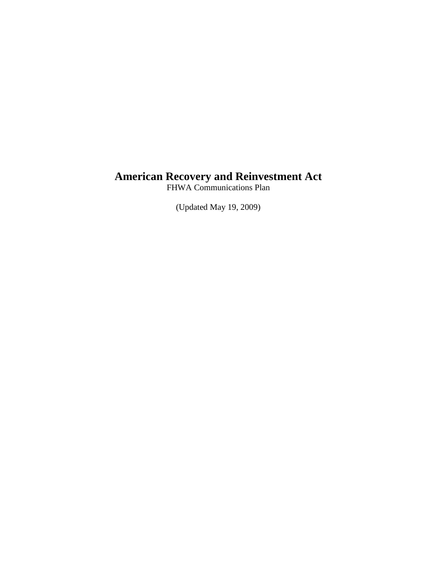# **American Recovery and Reinvestment Act**

FHWA Communications Plan

(Updated May 19, 2009)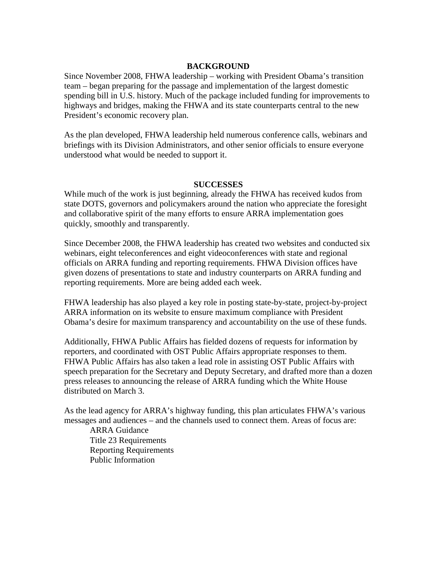#### **BACKGROUND**

Since November 2008, FHWA leadership – working with President Obama's transition team – began preparing for the passage and implementation of the largest domestic spending bill in U.S. history. Much of the package included funding for improvements to highways and bridges, making the FHWA and its state counterparts central to the new President's economic recovery plan.

As the plan developed, FHWA leadership held numerous conference calls, webinars and briefings with its Division Administrators, and other senior officials to ensure everyone understood what would be needed to support it.

#### **SUCCESSES**

While much of the work is just beginning, already the FHWA has received kudos from state DOTS, governors and policymakers around the nation who appreciate the foresight and collaborative spirit of the many efforts to ensure ARRA implementation goes quickly, smoothly and transparently.

Since December 2008, the FHWA leadership has created two websites and conducted six webinars, eight teleconferences and eight videoconferences with state and regional officials on ARRA funding and reporting requirements. FHWA Division offices have given dozens of presentations to state and industry counterparts on ARRA funding and reporting requirements. More are being added each week.

FHWA leadership has also played a key role in posting state-by-state, project-by-project ARRA information on its website to ensure maximum compliance with President Obama's desire for maximum transparency and accountability on the use of these funds.

Additionally, FHWA Public Affairs has fielded dozens of requests for information by reporters, and coordinated with OST Public Affairs appropriate responses to them. FHWA Public Affairs has also taken a lead role in assisting OST Public Affairs with speech preparation for the Secretary and Deputy Secretary, and drafted more than a dozen press releases to announcing the release of ARRA funding which the White House distributed on March 3.

As the lead agency for ARRA's highway funding, this plan articulates FHWA's various messages and audiences – and the channels used to connect them. Areas of focus are:

ARRA Guidance Title 23 Requirements Reporting Requirements Public Information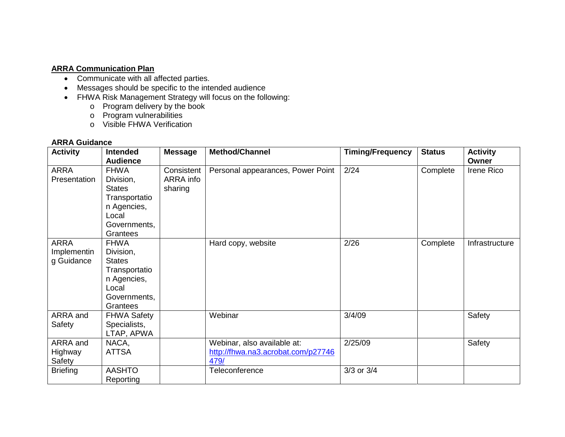# **ARRA Communication Plan**

- Communicate with all affected parties.
- Messages should be specific to the intended audience
- FHWA Risk Management Strategy will focus on the following:
	- o Program delivery by the book
	- o Program vulnerabilities
	- o Visible FHWA Verification

# **ARRA Guidance**

| <b>Activity</b>                          | <b>Intended</b><br><b>Audience</b>                                                                             | <b>Message</b>                     | <b>Method/Channel</b>                                                     | <b>Timing/Frequency</b> | <b>Status</b> | <b>Activity</b><br>Owner |
|------------------------------------------|----------------------------------------------------------------------------------------------------------------|------------------------------------|---------------------------------------------------------------------------|-------------------------|---------------|--------------------------|
| <b>ARRA</b><br>Presentation              | <b>FHWA</b><br>Division,<br><b>States</b><br>Transportatio<br>n Agencies,<br>Local<br>Governments,<br>Grantees | Consistent<br>ARRA info<br>sharing | Personal appearances, Power Point                                         | 2/24                    | Complete      | Irene Rico               |
| <b>ARRA</b><br>Implementin<br>g Guidance | <b>FHWA</b><br>Division,<br><b>States</b><br>Transportatio<br>n Agencies,<br>Local<br>Governments,<br>Grantees |                                    | Hard copy, website                                                        | 2/26                    | Complete      | Infrastructure           |
| ARRA and<br>Safety                       | <b>FHWA Safety</b><br>Specialists,<br>LTAP, APWA                                                               |                                    | Webinar                                                                   | 3/4/09                  |               | Safety                   |
| ARRA and<br>Highway<br>Safety            | NACA,<br><b>ATTSA</b>                                                                                          |                                    | Webinar, also available at:<br>http://fhwa.na3.acrobat.com/p27746<br>479/ | 2/25/09                 |               | Safety                   |
| <b>Briefing</b>                          | <b>AASHTO</b><br>Reporting                                                                                     |                                    | Teleconference                                                            | 3/3 or 3/4              |               |                          |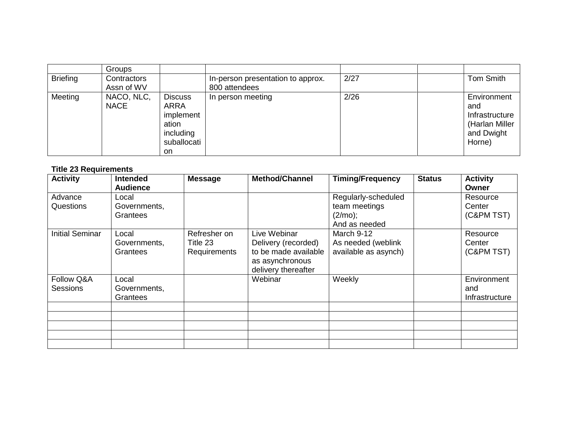|                 | <b>Groups</b>             |                                                                                       |                                                    |      |                                                                                |
|-----------------|---------------------------|---------------------------------------------------------------------------------------|----------------------------------------------------|------|--------------------------------------------------------------------------------|
| <b>Briefing</b> | Contractors<br>Assn of WV |                                                                                       | In-person presentation to approx.<br>800 attendees | 2/27 | <b>Tom Smith</b>                                                               |
| Meeting         | NACO, NLC,<br><b>NACE</b> | <b>Discuss</b><br><b>ARRA</b><br>implement<br>ation<br>including<br>suballocati<br>on | In person meeting                                  | 2/26 | Environment<br>and<br>Infrastructure<br>(Harlan Miller<br>and Dwight<br>Horne) |

# **Title 23 Requirements**

| <b>Activity</b>               | <b>Intended</b><br><b>Audience</b> | <b>Message</b>                           | <b>Method/Channel</b>                                                                                 | <b>Timing/Frequency</b>                                             | <b>Status</b> | <b>Activity</b><br>Owner             |
|-------------------------------|------------------------------------|------------------------------------------|-------------------------------------------------------------------------------------------------------|---------------------------------------------------------------------|---------------|--------------------------------------|
| Advance<br>Questions          | Local<br>Governments,<br>Grantees  |                                          |                                                                                                       | Regularly-scheduled<br>team meetings<br>$(2/mo)$ ;<br>And as needed |               | Resource<br>Center<br>(C&PM TST)     |
| <b>Initial Seminar</b>        | Local<br>Governments,<br>Grantees  | Refresher on<br>Title 23<br>Requirements | Live Webinar<br>Delivery (recorded)<br>to be made available<br>as asynchronous<br>delivery thereafter | March 9-12<br>As needed (weblink<br>available as asynch)            |               | Resource<br>Center<br>(C&PM TST)     |
| Follow Q&A<br><b>Sessions</b> | Local<br>Governments,<br>Grantees  |                                          | Webinar                                                                                               | Weekly                                                              |               | Environment<br>and<br>Infrastructure |
|                               |                                    |                                          |                                                                                                       |                                                                     |               |                                      |
|                               |                                    |                                          |                                                                                                       |                                                                     |               |                                      |
|                               |                                    |                                          |                                                                                                       |                                                                     |               |                                      |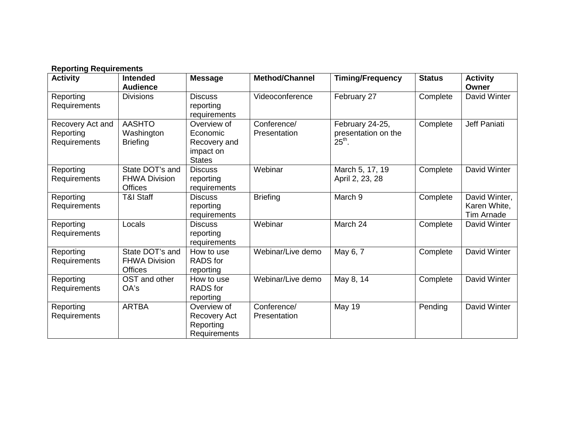# **Reporting Requirements**

| <b>Activity</b>                               | <b>Intended</b><br><b>Audience</b>                        | <b>Message</b>                                                        | <b>Method/Channel</b>       | <b>Timing/Frequency</b>                            | <b>Status</b> | <b>Activity</b><br>Owner                           |
|-----------------------------------------------|-----------------------------------------------------------|-----------------------------------------------------------------------|-----------------------------|----------------------------------------------------|---------------|----------------------------------------------------|
| Reporting<br>Requirements                     | <b>Divisions</b>                                          | <b>Discuss</b><br>reporting<br>requirements                           | Videoconference             | February 27                                        | Complete      | David Winter                                       |
| Recovery Act and<br>Reporting<br>Requirements | <b>AASHTO</b><br>Washington<br><b>Briefing</b>            | Overview of<br>Economic<br>Recovery and<br>impact on<br><b>States</b> | Conference/<br>Presentation | February 24-25,<br>presentation on the<br>$25th$ . | Complete      | Jeff Paniati                                       |
| Reporting<br>Requirements                     | State DOT's and<br><b>FHWA Division</b><br><b>Offices</b> | <b>Discuss</b><br>reporting<br>requirements                           | Webinar                     | March 5, 17, 19<br>April 2, 23, 28                 | Complete      | David Winter                                       |
| Reporting<br>Requirements                     | <b>T&amp;I Staff</b>                                      | <b>Discuss</b><br>reporting<br>requirements                           | <b>Briefing</b>             | March 9                                            | Complete      | David Winter,<br>Karen White,<br><b>Tim Arnade</b> |
| Reporting<br>Requirements                     | Locals                                                    | <b>Discuss</b><br>reporting<br>requirements                           | Webinar                     | March 24                                           | Complete      | David Winter                                       |
| Reporting<br>Requirements                     | State DOT's and<br><b>FHWA Division</b><br><b>Offices</b> | How to use<br><b>RADS</b> for<br>reporting                            | Webinar/Live demo           | May 6, $\overline{7}$                              | Complete      | David Winter                                       |
| Reporting<br>Requirements                     | OST and other<br>OA's                                     | How to use<br><b>RADS</b> for<br>reporting                            | Webinar/Live demo           | May 8, 14                                          | Complete      | David Winter                                       |
| Reporting<br>Requirements                     | <b>ARTBA</b>                                              | Overview of<br>Recovery Act<br>Reporting<br>Requirements              | Conference/<br>Presentation | <b>May 19</b>                                      | Pending       | David Winter                                       |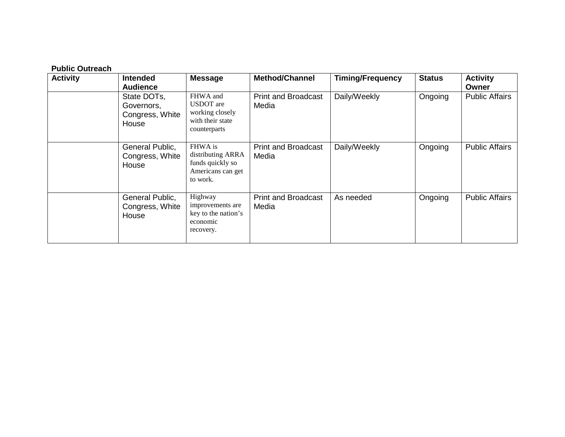# **Public Outreach**

| <b>Activity</b> | Intended<br><b>Audience</b>                           | <b>Message</b>                                                                      | <b>Method/Channel</b>               | <b>Timing/Frequency</b> | <b>Status</b> | <b>Activity</b><br>Owner |
|-----------------|-------------------------------------------------------|-------------------------------------------------------------------------------------|-------------------------------------|-------------------------|---------------|--------------------------|
|                 | State DOTs,<br>Governors,<br>Congress, White<br>House | FHWA and<br><b>USDOT</b> are<br>working closely<br>with their state<br>counterparts | <b>Print and Broadcast</b><br>Media | Daily/Weekly            | Ongoing       | <b>Public Affairs</b>    |
|                 | General Public,<br>Congress, White<br>House           | FHWA is<br>distributing ARRA<br>funds quickly so<br>Americans can get<br>to work.   | <b>Print and Broadcast</b><br>Media | Daily/Weekly            | Ongoing       | <b>Public Affairs</b>    |
|                 | General Public,<br>Congress, White<br>House           | Highway<br>improvements are<br>key to the nation's<br>economic<br>recovery.         | <b>Print and Broadcast</b><br>Media | As needed               | Ongoing       | <b>Public Affairs</b>    |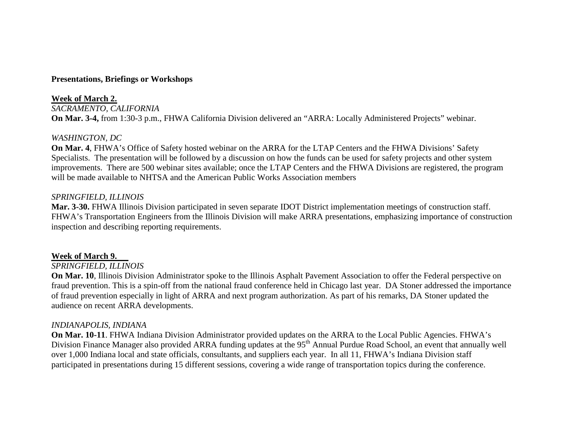#### **Presentations, Briefings or Workshops**

**Week of March 2.** *SACRAMENTO, CALIFORNIA* **On Mar. 3-4,** from 1:30-3 p.m., FHWA California Division delivered an "ARRA: Locally Administered Projects" webinar.

#### *WASHINGTON, DC*

**On Mar. 4**, FHWA's Office of Safety hosted webinar on the ARRA for the LTAP Centers and the FHWA Divisions' Safety Specialists. The presentation will be followed by a discussion on how the funds can be used for safety projects and other system improvements. There are 500 webinar sites available; once the LTAP Centers and the FHWA Divisions are registered, the program will be made available to NHTSA and the American Public Works Association members

#### *SPRINGFIELD, ILLINOIS*

**Mar. 3-30.** FHWA Illinois Division participated in seven separate IDOT District implementation meetings of construction staff. FHWA's Transportation Engineers from the Illinois Division will make ARRA presentations, emphasizing importance of construction inspection and describing reporting requirements.

#### **Week of March 9.**

#### *SPRINGFIELD, ILLINOIS*

**On Mar. 10**, Illinois Division Administrator spoke to the Illinois Asphalt Pavement Association to offer the Federal perspective on fraud prevention. This is a spin-off from the national fraud conference held in Chicago last year. DA Stoner addressed the importance of fraud prevention especially in light of ARRA and next program authorization. As part of his remarks, DA Stoner updated the audience on recent ARRA developments.

#### *INDIANAPOLIS, INDIANA*

**On Mar. 10-11**. FHWA Indiana Division Administrator provided updates on the ARRA to the Local Public Agencies. FHWA's Division Finance Manager also provided ARRA funding updates at the 95<sup>th</sup> Annual Purdue Road School, an event that annually well over 1,000 Indiana local and state officials, consultants, and suppliers each year. In all 11, FHWA's Indiana Division staff participated in presentations during 15 different sessions, covering a wide range of transportation topics during the conference.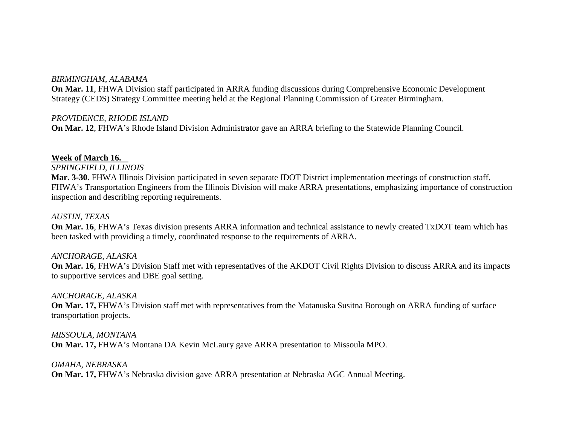#### *BIRMINGHAM, ALABAMA*

**On Mar. 11**, FHWA Division staff participated in ARRA funding discussions during Comprehensive Economic Development Strategy (CEDS) Strategy Committee meeting held at the Regional Planning Commission of Greater Birmingham.

#### *PROVIDENCE, RHODE ISLAND*

**On Mar. 12**, FHWA's Rhode Island Division Administrator gave an ARRA briefing to the Statewide Planning Council.

#### **Week of March 16.**

*SPRINGFIELD, ILLINOIS*

**Mar. 3-30.** FHWA Illinois Division participated in seven separate IDOT District implementation meetings of construction staff. FHWA's Transportation Engineers from the Illinois Division will make ARRA presentations, emphasizing importance of construction inspection and describing reporting requirements.

#### *AUSTIN, TEXAS*

**On Mar. 16**, FHWA's Texas division presents ARRA information and technical assistance to newly created TxDOT team which has been tasked with providing a timely, coordinated response to the requirements of ARRA.

#### *ANCHORAGE, ALASKA*

**On Mar. 16**, FHWA's Division Staff met with representatives of the AKDOT Civil Rights Division to discuss ARRA and its impacts to supportive services and DBE goal setting.

#### *ANCHORAGE, ALASKA*

**On Mar. 17,** FHWA's Division staff met with representatives from the Matanuska Susitna Borough on ARRA funding of surface transportation projects.

*MISSOULA, MONTANA* **On Mar. 17,** FHWA's Montana DA Kevin McLaury gave ARRA presentation to Missoula MPO.

#### *OMAHA, NEBRASKA*

**On Mar. 17,** FHWA's Nebraska division gave ARRA presentation at Nebraska AGC Annual Meeting.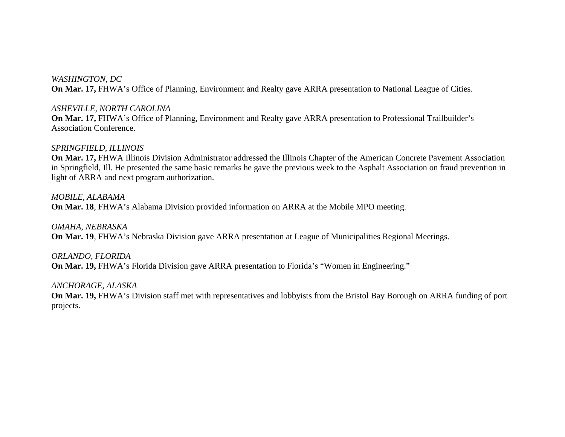*WASHINGTON, DC* **On Mar. 17,** FHWA's Office of Planning, Environment and Realty gave ARRA presentation to National League of Cities.

#### *ASHEVILLE, NORTH CAROLINA*

**On Mar. 17,** FHWA's Office of Planning, Environment and Realty gave ARRA presentation to Professional Trailbuilder's Association Conference.

#### *SPRINGFIELD, ILLINOIS*

**On Mar. 17,** FHWA Illinois Division Administrator addressed the Illinois Chapter of the American Concrete Pavement Association in Springfield, Ill. He presented the same basic remarks he gave the previous week to the Asphalt Association on fraud prevention in light of ARRA and next program authorization.

*MOBILE, ALABAMA* **On Mar. 18**, FHWA's Alabama Division provided information on ARRA at the Mobile MPO meeting.

*OMAHA, NEBRASKA* **On Mar. 19**, FHWA's Nebraska Division gave ARRA presentation at League of Municipalities Regional Meetings.

*ORLANDO, FLORIDA* **On Mar. 19,** FHWA's Florida Division gave ARRA presentation to Florida's "Women in Engineering."

#### *ANCHORAGE, ALASKA*

**On Mar. 19,** FHWA's Division staff met with representatives and lobbyists from the Bristol Bay Borough on ARRA funding of port projects.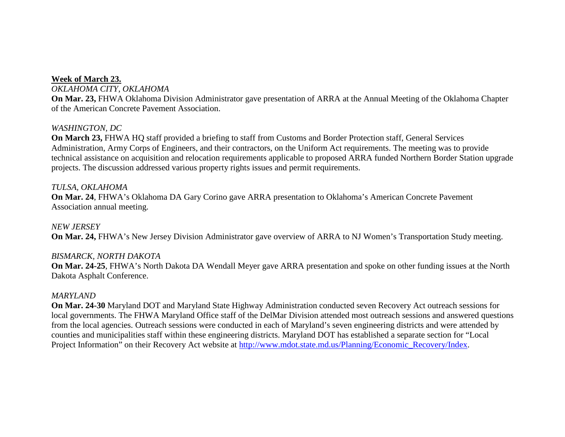# **Week of March 23.**

*OKLAHOMA CITY, OKLAHOMA*

**On Mar. 23,** FHWA Oklahoma Division Administrator gave presentation of ARRA at the Annual Meeting of the Oklahoma Chapter of the American Concrete Pavement Association.

# *WASHINGTON, DC*

**On March 23,** FHWA HQ staff provided a briefing to staff from Customs and Border Protection staff, General Services Administration, Army Corps of Engineers, and their contractors, on the Uniform Act requirements. The meeting was to provide technical assistance on acquisition and relocation requirements applicable to proposed ARRA funded Northern Border Station upgrade projects. The discussion addressed various property rights issues and permit requirements.

#### *TULSA, OKLAHOMA*

**On Mar. 24**, FHWA's Oklahoma DA Gary Corino gave ARRA presentation to Oklahoma's American Concrete Pavement Association annual meeting.

*NEW JERSEY* **On Mar. 24,** FHWA's New Jersey Division Administrator gave overview of ARRA to NJ Women's Transportation Study meeting.

#### *BISMARCK, NORTH DAKOTA*

**On Mar. 24-25**, FHWA's North Dakota DA Wendall Meyer gave ARRA presentation and spoke on other funding issues at the North Dakota Asphalt Conference.

#### *MARYLAND*

**On Mar. 24-30** Maryland DOT and Maryland State Highway Administration conducted seven Recovery Act outreach sessions for local governments. The FHWA Maryland Office staff of the DelMar Division attended most outreach sessions and answered questions from the local agencies. Outreach sessions were conducted in each of Maryland's seven engineering districts and were attended by counties and municipalities staff within these engineering districts. Maryland DOT has established a separate section for "Local Project Information" on their Recovery Act website at [http://www.mdot.state.md.us/Planning/Economic\\_Recovery/Index.](http://www.mdot.state.md.us/Planning/Economic_Recovery/Index)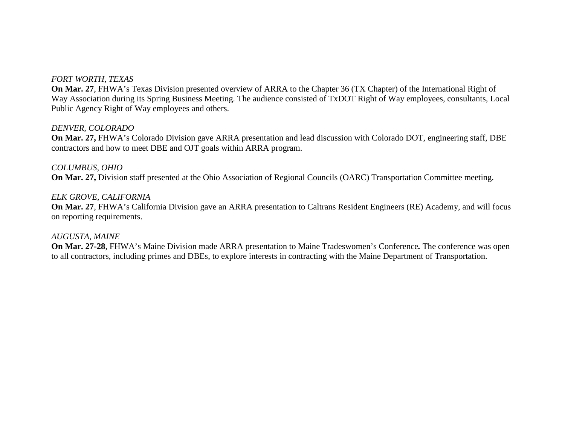# *FORT WORTH, TEXAS*

**On Mar. 27**, FHWA's Texas Division presented overview of ARRA to the Chapter 36 (TX Chapter) of the International Right of Way Association during its Spring Business Meeting. The audience consisted of TxDOT Right of Way employees, consultants, Local Public Agency Right of Way employees and others.

#### *DENVER, COLORADO*

**On Mar. 27,** FHWA's Colorado Division gave ARRA presentation and lead discussion with Colorado DOT, engineering staff, DBE contractors and how to meet DBE and OJT goals within ARRA program.

#### *COLUMBUS, OHIO*

**On Mar. 27,** Division staff presented at the Ohio Association of Regional Councils (OARC) Transportation Committee meeting.

#### *ELK GROVE, CALIFORNIA*

**On Mar. 27**, FHWA's California Division gave an ARRA presentation to Caltrans Resident Engineers (RE) Academy, and will focus on reporting requirements.

#### *AUGUSTA, MAINE*

**On Mar. 27-28**, FHWA's Maine Division made ARRA presentation to Maine Tradeswomen's Conference*.* The conference was open to all contractors, including primes and DBEs, to explore interests in contracting with the Maine Department of Transportation.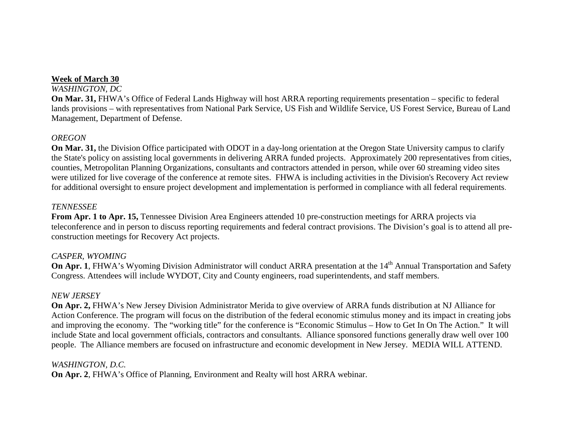# **Week of March 30**

#### *WASHINGTON, DC*

**On Mar. 31,** FHWA's Office of Federal Lands Highway will host ARRA reporting requirements presentation – specific to federal lands provisions – with representatives from National Park Service, US Fish and Wildlife Service, US Forest Service, Bureau of Land Management, Department of Defense.

# *OREGON*

**On Mar. 31,** the Division Office participated with ODOT in a day-long orientation at the Oregon State University campus to clarify the State's policy on assisting local governments in delivering ARRA funded projects. Approximately 200 representatives from cities, counties, Metropolitan Planning Organizations, consultants and contractors attended in person, while over 60 streaming video sites were utilized for live coverage of the conference at remote sites. FHWA is including activities in the Division's Recovery Act review for additional oversight to ensure project development and implementation is performed in compliance with all federal requirements.

#### *TENNESSEE*

**From Apr. 1 to Apr. 15,** Tennessee Division Area Engineers attended 10 pre-construction meetings for ARRA projects via teleconference and in person to discuss reporting requirements and federal contract provisions. The Division's goal is to attend all preconstruction meetings for Recovery Act projects.

# *CASPER, WYOMING*

**On Apr. 1**, FHWA's Wyoming Division Administrator will conduct ARRA presentation at the 14<sup>th</sup> Annual Transportation and Safety Congress. Attendees will include WYDOT, City and County engineers, road superintendents, and staff members.

# *NEW JERSEY*

**On Apr. 2, FHWA's New Jersey Division Administrator Merida to give overview of ARRA funds distribution at NJ Alliance for** Action Conference. The program will focus on the distribution of the federal economic stimulus money and its impact in creating jobs and improving the economy. The "working title" for the conference is "Economic Stimulus – How to Get In On The Action." It will include State and local government officials, contractors and consultants. Alliance sponsored functions generally draw well over 100 people. The Alliance members are focused on infrastructure and economic development in New Jersey. MEDIA WILL ATTEND.

# *WASHINGTON, D.C.*

**On Apr. 2**, FHWA's Office of Planning, Environment and Realty will host ARRA webinar.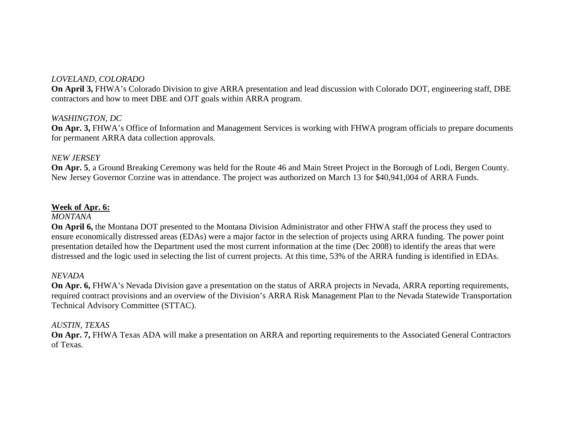# *LOVELAND, COLORADO*

**On April 3,** FHWA's Colorado Division to give ARRA presentation and lead discussion with Colorado DOT, engineering staff, DBE contractors and how to meet DBE and OJT goals within ARRA program.

#### *WASHINGTON, DC*

**On Apr. 3,** FHWA's Office of Information and Management Services is working with FHWA program officials to prepare documents for permanent ARRA data collection approvals.

#### *NEW JERSEY*

**On Apr. 5**, a Ground Breaking Ceremony was held for the Route 46 and Main Street Project in the Borough of Lodi, Bergen County. New Jersey Governor Corzine was in attendance. The project was authorized on March 13 for \$40,941,004 of ARRA Funds.

#### **Week of Apr. 6:**

#### *MONTANA*

**On April 6,** the Montana DOT presented to the Montana Division Administrator and other FHWA staff the process they used to ensure economically distressed areas (EDAs) were a major factor in the selection of projects using ARRA funding. The power point presentation detailed how the Department used the most current information at the time (Dec 2008) to identify the areas that were distressed and the logic used in selecting the list of current projects. At this time, 53% of the ARRA funding is identified in EDAs.

#### *NEVADA*

**On Apr. 6,** FHWA's Nevada Division gave a presentation on the status of ARRA projects in Nevada, ARRA reporting requirements, required contract provisions and an overview of the Division's ARRA Risk Management Plan to the Nevada Statewide Transportation Technical Advisory Committee (STTAC).

#### *AUSTIN, TEXAS*

**On Apr. 7,** FHWA Texas ADA will make a presentation on ARRA and reporting requirements to the Associated General Contractors of Texas.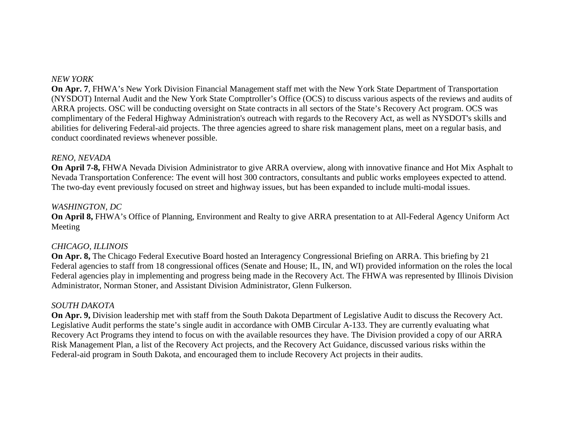#### *NEW YORK*

**On Apr. 7**, FHWA's New York Division Financial Management staff met with the New York State Department of Transportation (NYSDOT) Internal Audit and the New York State Comptroller's Office (OCS) to discuss various aspects of the reviews and audits of ARRA projects. OSC will be conducting oversight on State contracts in all sectors of the State's Recovery Act program. OCS was complimentary of the Federal Highway Administration's outreach with regards to the Recovery Act, as well as NYSDOT's skills and abilities for delivering Federal-aid projects. The three agencies agreed to share risk management plans, meet on a regular basis, and conduct coordinated reviews whenever possible.

#### *RENO, NEVADA*

**On April 7-8,** FHWA Nevada Division Administrator to give ARRA overview, along with innovative finance and Hot Mix Asphalt to Nevada Transportation Conference: The event will host 300 contractors, consultants and public works employees expected to attend. The two-day event previously focused on street and highway issues, but has been expanded to include multi-modal issues.

#### *WASHINGTON, DC*

**On April 8,** FHWA's Office of Planning, Environment and Realty to give ARRA presentation to at All-Federal Agency Uniform Act Meeting

#### *CHICAGO, ILLINOIS*

**On Apr. 8,** The Chicago Federal Executive Board hosted an Interagency Congressional Briefing on ARRA. This briefing by 21 Federal agencies to staff from 18 congressional offices (Senate and House; IL, IN, and WI) provided information on the roles the local Federal agencies play in implementing and progress being made in the Recovery Act. The FHWA was represented by Illinois Division Administrator, Norman Stoner, and Assistant Division Administrator, Glenn Fulkerson.

#### *SOUTH DAKOTA*

**On Apr. 9,** Division leadership met with staff from the South Dakota Department of Legislative Audit to discuss the Recovery Act. Legislative Audit performs the state's single audit in accordance with OMB Circular A-133. They are currently evaluating what Recovery Act Programs they intend to focus on with the available resources they have. The Division provided a copy of our ARRA Risk Management Plan, a list of the Recovery Act projects, and the Recovery Act Guidance, discussed various risks within the Federal-aid program in South Dakota, and encouraged them to include Recovery Act projects in their audits.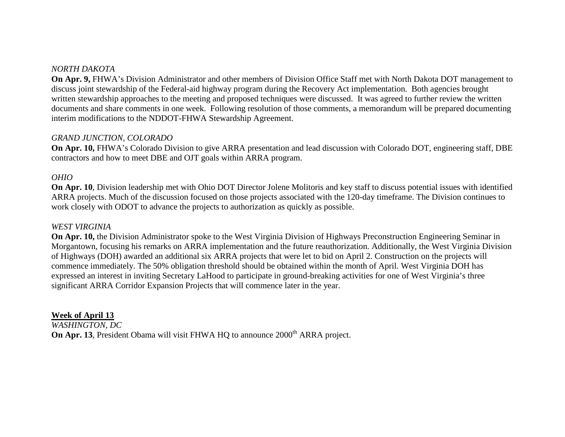# *NORTH DAKOTA*

**On Apr. 9,** FHWA's Division Administrator and other members of Division Office Staff met with North Dakota DOT management to discuss joint stewardship of the Federal-aid highway program during the Recovery Act implementation. Both agencies brought written stewardship approaches to the meeting and proposed techniques were discussed. It was agreed to further review the written documents and share comments in one week. Following resolution of those comments, a memorandum will be prepared documenting interim modifications to the NDDOT-FHWA Stewardship Agreement.

#### *GRAND JUNCTION, COLORADO*

**On Apr. 10,** FHWA's Colorado Division to give ARRA presentation and lead discussion with Colorado DOT, engineering staff, DBE contractors and how to meet DBE and OJT goals within ARRA program.

#### *OHIO*

**On Apr. 10**, Division leadership met with Ohio DOT Director Jolene Molitoris and key staff to discuss potential issues with identified ARRA projects. Much of the discussion focused on those projects associated with the 120-day timeframe. The Division continues to work closely with ODOT to advance the projects to authorization as quickly as possible.

#### *WEST VIRGINIA*

**On Apr. 10,** the Division Administrator spoke to the West Virginia Division of Highways Preconstruction Engineering Seminar in Morgantown, focusing his remarks on ARRA implementation and the future reauthorization. Additionally, the West Virginia Division of Highways (DOH) awarded an additional six ARRA projects that were let to bid on April 2. Construction on the projects will commence immediately. The 50% obligation threshold should be obtained within the month of April. West Virginia DOH has expressed an interest in inviting Secretary LaHood to participate in ground-breaking activities for one of West Virginia's three significant ARRA Corridor Expansion Projects that will commence later in the year.

#### **Week of April 13**

*WASHINGTON, DC* **On Apr. 13**, President Obama will visit FHWA HQ to announce 2000<sup>th</sup> ARRA project.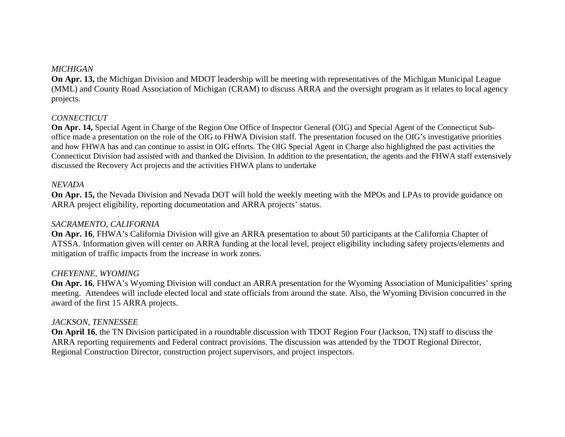#### *MICHIGAN*

**On Apr. 13,** the Michigan Division and MDOT leadership will be meeting with representatives of the Michigan Municipal League (MML) and County Road Association of Michigan (CRAM) to discuss ARRA and the oversight program as it relates to local agency projects.

#### *CONNECTICUT*

**On Apr. 14,** Special Agent in Charge of the Region One Office of Inspector General (OIG) and Special Agent of the Connecticut Suboffice made a presentation on the role of the OIG to FHWA Division staff. The presentation focused on the OIG's investigative priorities and how FHWA has and can continue to assist in OIG efforts. The OIG Special Agent in Charge also highlighted the past activities the Connecticut Division had assisted with and thanked the Division. In addition to the presentation, the agents and the FHWA staff extensively discussed the Recovery Act projects and the activities FHWA plans to undertake

#### *NEVADA*

**On Apr. 15,** the Nevada Division and Nevada DOT will hold the weekly meeting with the MPOs and LPAs to provide guidance on ARRA project eligibility, reporting documentation and ARRA projects' status.

#### *SACRAMENTO, CALIFORNIA*

**On Apr. 16**, FHWA's California Division will give an ARRA presentation to about 50 participants at the California Chapter of ATSSA. Information given will center on ARRA funding at the local level, project eligibility including safety projects/elements and mitigation of traffic impacts from the increase in work zones.

#### *CHEYENNE, WYOMING*

**On Apr. 16**, FHWA's Wyoming Division will conduct an ARRA presentation for the Wyoming Association of Municipalities' spring meeting. Attendees will include elected local and state officials from around the state. Also, the Wyoming Division concurred in the award of the first 15 ARRA projects.

#### *JACKSON, TENNESSEE*

**On April 16**, the TN Division participated in a roundtable discussion with TDOT Region Four (Jackson, TN) staff to discuss the ARRA reporting requirements and Federal contract provisions. The discussion was attended by the TDOT Regional Director, Regional Construction Director, construction project supervisors, and project inspectors.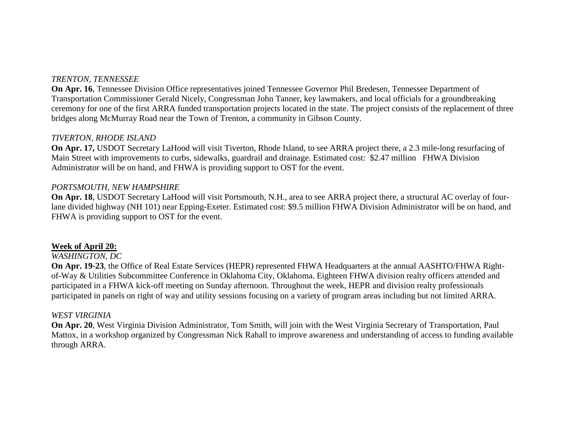#### *TRENTON, TENNESSEE*

**On Apr. 16**, Tennessee Division Office representatives joined Tennessee Governor Phil Bredesen, Tennessee Department of Transportation Commissioner Gerald Nicely, Congressman John Tanner, key lawmakers, and local officials for a groundbreaking ceremony for one of the first ARRA funded transportation projects located in the state. The project consists of the replacement of three bridges along McMurray Road near the Town of Trenton, a community in Gibson County.

#### *TIVERTON, RHODE ISLAND*

**On Apr. 17,** USDOT Secretary LaHood will visit Tiverton, Rhode Island, to see ARRA project there, a 2.3 mile-long resurfacing of Main Street with improvements to curbs, sidewalks, guardrail and drainage. Estimated cost: \$2.47 million FHWA Division Administrator will be on hand, and FHWA is providing support to OST for the event.

#### *PORTSMOUTH, NEW HAMPSHIRE*

**On Apr. 18**, USDOT Secretary LaHood will visit Portsmouth, N.H., area to see ARRA project there, a structural AC overlay of fourlane divided highway (NH 101) near Epping-Exeter. Estimated cost: \$9.5 million FHWA Division Administrator will be on hand, and FHWA is providing support to OST for the event.

#### **Week of April 20:**

#### *WASHINGTON, DC*

**On Apr. 19-23**, the Office of Real Estate Services (HEPR) represented FHWA Headquarters at the annual AASHTO/FHWA Rightof-Way & Utilities Subcommittee Conference in Oklahoma City, Oklahoma. Eighteen FHWA division realty officers attended and participated in a FHWA kick-off meeting on Sunday afternoon. Throughout the week, HEPR and division realty professionals participated in panels on right of way and utility sessions focusing on a variety of program areas including but not limited ARRA.

#### *WEST VIRGINIA*

**On Apr. 20**, West Virginia Division Administrator, Tom Smith, will join with the West Virginia Secretary of Transportation, Paul Mattox, in a workshop organized by Congressman Nick Rahall to improve awareness and understanding of access to funding available through ARRA.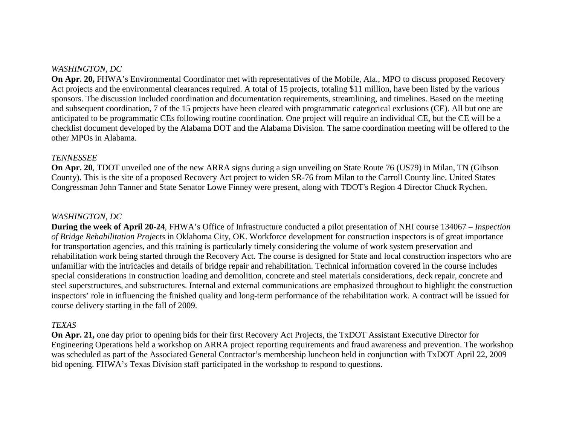# *WASHINGTON, DC*

**On Apr. 20, FHWA's Environmental Coordinator met with representatives of the Mobile, Ala., MPO to discuss proposed Recovery** Act projects and the environmental clearances required. A total of 15 projects, totaling \$11 million, have been listed by the various sponsors. The discussion included coordination and documentation requirements, streamlining, and timelines. Based on the meeting and subsequent coordination, 7 of the 15 projects have been cleared with programmatic categorical exclusions (CE). All but one are anticipated to be programmatic CEs following routine coordination. One project will require an individual CE, but the CE will be a checklist document developed by the Alabama DOT and the Alabama Division. The same coordination meeting will be offered to the other MPOs in Alabama.

#### *TENNESSEE*

**On Apr. 20**, TDOT unveiled one of the new ARRA signs during a sign unveiling on State Route 76 (US79) in Milan, TN (Gibson County). This is the site of a proposed Recovery Act project to widen SR-76 from Milan to the Carroll County line. United States Congressman John Tanner and State Senator Lowe Finney were present, along with TDOT's Region 4 Director Chuck Rychen.

#### *WASHINGTON, DC*

**During the week of April 20-24**, FHWA's Office of Infrastructure conducted a pilot presentation of NHI course 134067 – *Inspection of Bridge Rehabilitation Projects* in Oklahoma City, OK. Workforce development for construction inspectors is of great importance for transportation agencies, and this training is particularly timely considering the volume of work system preservation and rehabilitation work being started through the Recovery Act. The course is designed for State and local construction inspectors who are unfamiliar with the intricacies and details of bridge repair and rehabilitation. Technical information covered in the course includes special considerations in construction loading and demolition, concrete and steel materials considerations, deck repair, concrete and steel superstructures, and substructures. Internal and external communications are emphasized throughout to highlight the construction inspectors' role in influencing the finished quality and long-term performance of the rehabilitation work. A contract will be issued for course delivery starting in the fall of 2009.

#### *TEXAS*

**On Apr. 21,** one day prior to opening bids for their first Recovery Act Projects, the TxDOT Assistant Executive Director for Engineering Operations held a workshop on ARRA project reporting requirements and fraud awareness and prevention. The workshop was scheduled as part of the Associated General Contractor's membership luncheon held in conjunction with TxDOT April 22, 2009 bid opening. FHWA's Texas Division staff participated in the workshop to respond to questions.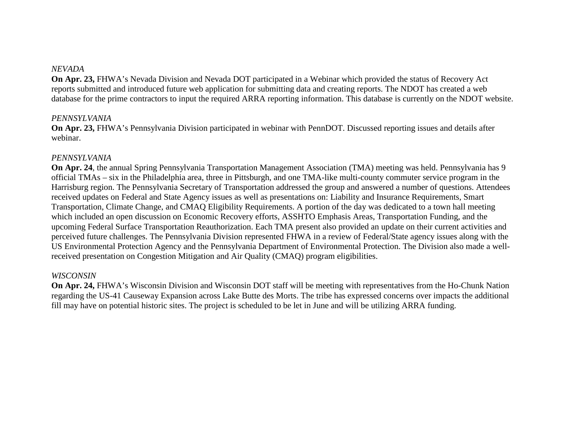#### *NEVADA*

**On Apr. 23,** FHWA's Nevada Division and Nevada DOT participated in a Webinar which provided the status of Recovery Act reports submitted and introduced future web application for submitting data and creating reports. The NDOT has created a web database for the prime contractors to input the required ARRA reporting information. This database is currently on the NDOT website.

#### *PENNSYLVANIA*

**On Apr. 23,** FHWA's Pennsylvania Division participated in webinar with PennDOT. Discussed reporting issues and details after webinar.

#### *PENNSYLVANIA*

**On Apr. 24**, the annual Spring Pennsylvania Transportation Management Association (TMA) meeting was held. Pennsylvania has 9 official TMAs – six in the Philadelphia area, three in Pittsburgh, and one TMA-like multi-county commuter service program in the Harrisburg region. The Pennsylvania Secretary of Transportation addressed the group and answered a number of questions. Attendees received updates on Federal and State Agency issues as well as presentations on: Liability and Insurance Requirements, Smart Transportation, Climate Change, and CMAQ Eligibility Requirements. A portion of the day was dedicated to a town hall meeting which included an open discussion on Economic Recovery efforts, ASSHTO Emphasis Areas, Transportation Funding, and the upcoming Federal Surface Transportation Reauthorization. Each TMA present also provided an update on their current activities and perceived future challenges. The Pennsylvania Division represented FHWA in a review of Federal/State agency issues along with the US Environmental Protection Agency and the Pennsylvania Department of Environmental Protection. The Division also made a wellreceived presentation on Congestion Mitigation and Air Quality (CMAQ) program eligibilities.

#### *WISCONSIN*

**On Apr. 24,** FHWA's Wisconsin Division and Wisconsin DOT staff will be meeting with representatives from the Ho-Chunk Nation regarding the US-41 Causeway Expansion across Lake Butte des Morts. The tribe has expressed concerns over impacts the additional fill may have on potential historic sites. The project is scheduled to be let in June and will be utilizing ARRA funding.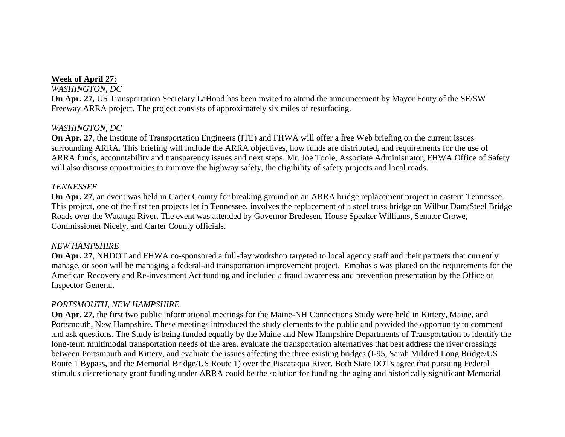# **Week of April 27:**

#### *WASHINGTON, DC*

**On Apr. 27,** US Transportation Secretary LaHood has been invited to attend the announcement by Mayor Fenty of the SE/SW Freeway ARRA project. The project consists of approximately six miles of resurfacing.

# *WASHINGTON, DC*

**On Apr. 27**, the Institute of Transportation Engineers (ITE) and FHWA will offer a free Web briefing on the current issues surrounding ARRA. This briefing will include the ARRA objectives, how funds are distributed, and requirements for the use of ARRA funds, accountability and transparency issues and next steps. Mr. Joe Toole, Associate Administrator, FHWA Office of Safety will also discuss opportunities to improve the highway safety, the eligibility of safety projects and local roads.

#### *TENNESSEE*

**On Apr. 27**, an event was held in Carter County for breaking ground on an ARRA bridge replacement project in eastern Tennessee. This project, one of the first ten projects let in Tennessee, involves the replacement of a steel truss bridge on Wilbur Dam/Steel Bridge Roads over the Watauga River. The event was attended by Governor Bredesen, House Speaker Williams, Senator Crowe, Commissioner Nicely, and Carter County officials.

#### *NEW HAMPSHIRE*

**On Apr. 27**, NHDOT and FHWA co-sponsored a full-day workshop targeted to local agency staff and their partners that currently manage, or soon will be managing a federal-aid transportation improvement project. Emphasis was placed on the requirements for the American Recovery and Re-investment Act funding and included a fraud awareness and prevention presentation by the Office of Inspector General.

#### *PORTSMOUTH, NEW HAMPSHIRE*

**On Apr. 27**, the first two public informational meetings for the Maine-NH Connections Study were held in Kittery, Maine, and Portsmouth, New Hampshire. These meetings introduced the study elements to the public and provided the opportunity to comment and ask questions. The Study is being funded equally by the Maine and New Hampshire Departments of Transportation to identify the long-term multimodal transportation needs of the area, evaluate the transportation alternatives that best address the river crossings between Portsmouth and Kittery, and evaluate the issues affecting the three existing bridges (I-95, Sarah Mildred Long Bridge/US Route 1 Bypass, and the Memorial Bridge/US Route 1) over the Piscataqua River. Both State DOTs agree that pursuing Federal stimulus discretionary grant funding under ARRA could be the solution for funding the aging and historically significant Memorial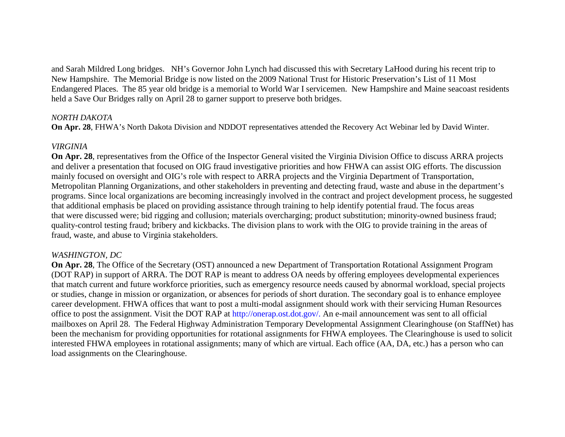and Sarah Mildred Long bridges. NH's Governor John Lynch had discussed this with Secretary LaHood during his recent trip to New Hampshire. The Memorial Bridge is now listed on the 2009 National Trust for Historic Preservation's List of 11 Most Endangered Places. The 85 year old bridge is a memorial to World War I servicemen. New Hampshire and Maine seacoast residents held a Save Our Bridges rally on April 28 to garner support to preserve both bridges.

#### *NORTH DAKOTA*

**On Apr. 28**, FHWA's North Dakota Division and NDDOT representatives attended the Recovery Act Webinar led by David Winter.

# *VIRGINIA*

**On Apr. 28**, representatives from the Office of the Inspector General visited the Virginia Division Office to discuss ARRA projects and deliver a presentation that focused on OIG fraud investigative priorities and how FHWA can assist OIG efforts. The discussion mainly focused on oversight and OIG's role with respect to ARRA projects and the Virginia Department of Transportation, Metropolitan Planning Organizations, and other stakeholders in preventing and detecting fraud, waste and abuse in the department's programs. Since local organizations are becoming increasingly involved in the contract and project development process, he suggested that additional emphasis be placed on providing assistance through training to help identify potential fraud. The focus areas that were discussed were; bid rigging and collusion; materials overcharging; product substitution; minority-owned business fraud; quality-control testing fraud; bribery and kickbacks. The division plans to work with the OIG to provide training in the areas of fraud, waste, and abuse to Virginia stakeholders.

# *WASHINGTON, DC*

**On Apr. 28**, The Office of the Secretary (OST) announced a new Department of Transportation Rotational Assignment Program (DOT RAP) in support of ARRA. The DOT RAP is meant to address OA needs by offering employees developmental experiences that match current and future workforce priorities, such as emergency resource needs caused by abnormal workload, special projects or studies, change in mission or organization, or absences for periods of short duration. The secondary goal is to enhance employee career development. FHWA offices that want to post a multi-modal assignment should work with their servicing Human Resources office to post the assignment. Visit the DOT RAP at http://onerap.ost.dot.gov/. An e-mail announcement was sent to all official mailboxes on April 28. The Federal Highway Administration Temporary Developmental Assignment Clearinghouse (on StaffNet) has been the mechanism for providing opportunities for rotational assignments for FHWA employees. The Clearinghouse is used to solicit interested FHWA employees in rotational assignments; many of which are virtual. Each office (AA, DA, etc.) has a person who can load assignments on the Clearinghouse.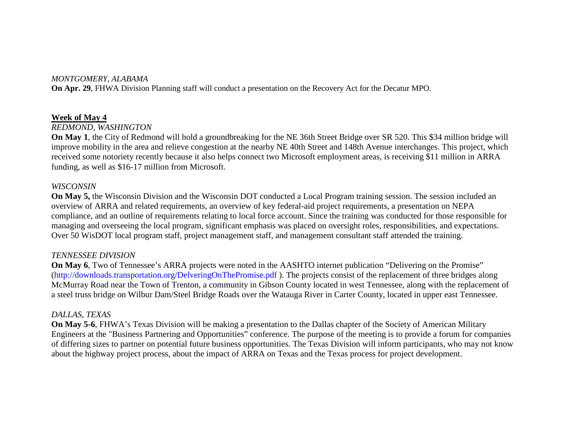#### *MONTGOMERY, ALABAMA*

**On Apr. 29**, FHWA Division Planning staff will conduct a presentation on the Recovery Act for the Decatur MPO.

#### **Week of May 4**

#### *REDMOND, WASHINGTON*

**On May 1**, the City of Redmond will hold a groundbreaking for the NE 36th Street Bridge over SR 520. This \$34 million bridge will improve mobility in the area and relieve congestion at the nearby NE 40th Street and 148th Avenue interchanges. This project, which received some notoriety recently because it also helps connect two Microsoft employment areas, is receiving \$11 million in ARRA funding, as well as \$16-17 million from Microsoft.

#### *WISCONSIN*

**On May 5,** the Wisconsin Division and the Wisconsin DOT conducted a Local Program training session. The session included an overview of ARRA and related requirements, an overview of key federal-aid project requirements, a presentation on NEPA compliance, and an outline of requirements relating to local force account. Since the training was conducted for those responsible for managing and overseeing the local program, significant emphasis was placed on oversight roles, responsibilities, and expectations. Over 50 WisDOT local program staff, project management staff, and management consultant staff attended the training.

#### *TENNESSEE DIVISION*

**On May 6**, Two of Tennessee's ARRA projects were noted in the AASHTO internet publication "Delivering on the Promise" (http://downloads.transportation.org/DelveringOnThePromise.pdf ). The projects consist of the replacement of three bridges along McMurray Road near the Town of Trenton, a community in Gibson County located in west Tennessee, along with the replacement of a steel truss bridge on Wilbur Dam/Steel Bridge Roads over the Watauga River in Carter County, located in upper east Tennessee.

#### *DALLAS, TEXAS*

**On May 5-6**, FHWA's Texas Division will be making a presentation to the Dallas chapter of the Society of American Military Engineers at the "Business Partnering and Opportunities" conference. The purpose of the meeting is to provide a forum for companies of differing sizes to partner on potential future business opportunities. The Texas Division will inform participants, who may not know about the highway project process, about the impact of ARRA on Texas and the Texas process for project development.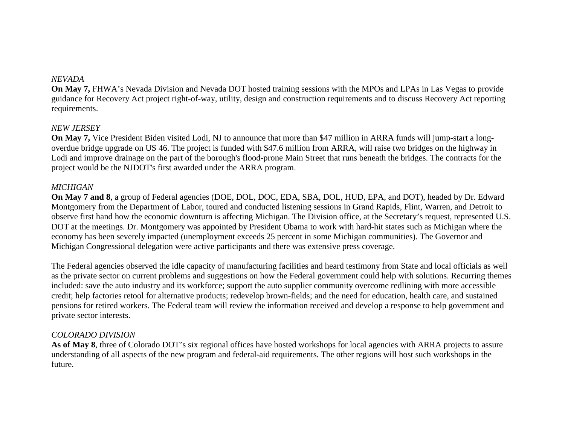#### *NEVADA*

**On May 7,** FHWA's Nevada Division and Nevada DOT hosted training sessions with the MPOs and LPAs in Las Vegas to provide guidance for Recovery Act project right-of-way, utility, design and construction requirements and to discuss Recovery Act reporting requirements.

#### *NEW JERSEY*

**On May 7,** Vice President Biden visited Lodi, NJ to announce that more than \$47 million in ARRA funds will jump-start a longoverdue bridge upgrade on US 46. The project is funded with \$47.6 million from ARRA, will raise two bridges on the highway in Lodi and improve drainage on the part of the borough's flood-prone Main Street that runs beneath the bridges. The contracts for the project would be the NJDOT's first awarded under the ARRA program.

#### *MICHIGAN*

**On May 7 and 8**, a group of Federal agencies (DOE, DOL, DOC, EDA, SBA, DOL, HUD, EPA, and DOT), headed by Dr. Edward Montgomery from the Department of Labor, toured and conducted listening sessions in Grand Rapids, Flint, Warren, and Detroit to observe first hand how the economic downturn is affecting Michigan. The Division office, at the Secretary's request, represented U.S. DOT at the meetings. Dr. Montgomery was appointed by President Obama to work with hard-hit states such as Michigan where the economy has been severely impacted (unemployment exceeds 25 percent in some Michigan communities). The Governor and Michigan Congressional delegation were active participants and there was extensive press coverage.

The Federal agencies observed the idle capacity of manufacturing facilities and heard testimony from State and local officials as well as the private sector on current problems and suggestions on how the Federal government could help with solutions. Recurring themes included: save the auto industry and its workforce; support the auto supplier community overcome redlining with more accessible credit; help factories retool for alternative products; redevelop brown-fields; and the need for education, health care, and sustained pensions for retired workers. The Federal team will review the information received and develop a response to help government and private sector interests.

#### *COLORADO DIVISION*

As of May 8, three of Colorado DOT's six regional offices have hosted workshops for local agencies with ARRA projects to assure understanding of all aspects of the new program and federal-aid requirements. The other regions will host such workshops in the future.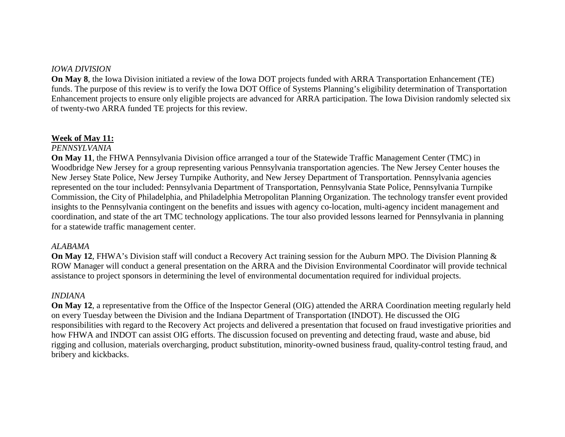#### *IOWA DIVISION*

**On May 8**, the Iowa Division initiated a review of the Iowa DOT projects funded with ARRA Transportation Enhancement (TE) funds. The purpose of this review is to verify the Iowa DOT Office of Systems Planning's eligibility determination of Transportation Enhancement projects to ensure only eligible projects are advanced for ARRA participation. The Iowa Division randomly selected six of twenty-two ARRA funded TE projects for this review.

#### **Week of May 11:**

#### *PENNSYLVANIA*

**On May 11**, the FHWA Pennsylvania Division office arranged a tour of the Statewide Traffic Management Center (TMC) in Woodbridge New Jersey for a group representing various Pennsylvania transportation agencies. The New Jersey Center houses the New Jersey State Police, New Jersey Turnpike Authority, and New Jersey Department of Transportation. Pennsylvania agencies represented on the tour included: Pennsylvania Department of Transportation, Pennsylvania State Police, Pennsylvania Turnpike Commission, the City of Philadelphia, and Philadelphia Metropolitan Planning Organization. The technology transfer event provided insights to the Pennsylvania contingent on the benefits and issues with agency co-location, multi-agency incident management and coordination, and state of the art TMC technology applications. The tour also provided lessons learned for Pennsylvania in planning for a statewide traffic management center.

#### *ALABAMA*

**On May 12**, FHWA's Division staff will conduct a Recovery Act training session for the Auburn MPO. The Division Planning & ROW Manager will conduct a general presentation on the ARRA and the Division Environmental Coordinator will provide technical assistance to project sponsors in determining the level of environmental documentation required for individual projects.

#### *INDIANA*

**On May 12**, a representative from the Office of the Inspector General (OIG) attended the ARRA Coordination meeting regularly held on every Tuesday between the Division and the Indiana Department of Transportation (INDOT). He discussed the OIG responsibilities with regard to the Recovery Act projects and delivered a presentation that focused on fraud investigative priorities and how FHWA and INDOT can assist OIG efforts. The discussion focused on preventing and detecting fraud, waste and abuse, bid rigging and collusion, materials overcharging, product substitution, minority-owned business fraud, quality-control testing fraud, and bribery and kickbacks.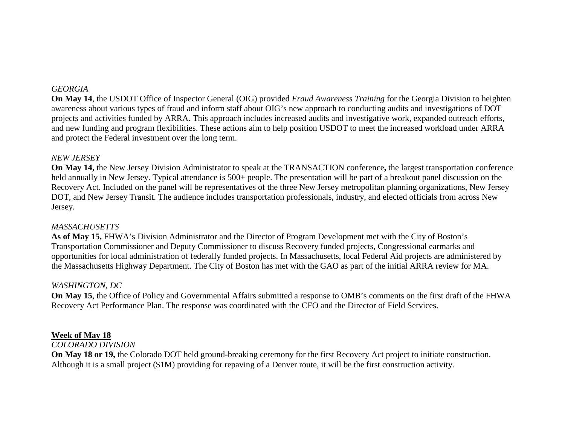# *GEORGIA*

**On May 14**, the USDOT Office of Inspector General (OIG) provided *Fraud Awareness Training* for the Georgia Division to heighten awareness about various types of fraud and inform staff about OIG's new approach to conducting audits and investigations of DOT projects and activities funded by ARRA. This approach includes increased audits and investigative work, expanded outreach efforts, and new funding and program flexibilities. These actions aim to help position USDOT to meet the increased workload under ARRA and protect the Federal investment over the long term.

#### *NEW JERSEY*

**On May 14,** the New Jersey Division Administrator to speak at the TRANSACTION conference**,** the largest transportation conference held annually in New Jersey. Typical attendance is 500+ people. The presentation will be part of a breakout panel discussion on the Recovery Act. Included on the panel will be representatives of the three New Jersey metropolitan planning organizations, New Jersey DOT, and New Jersey Transit. The audience includes transportation professionals, industry, and elected officials from across New Jersey.

#### *MASSACHUSETTS*

**As of May 15,** FHWA's Division Administrator and the Director of Program Development met with the City of Boston's Transportation Commissioner and Deputy Commissioner to discuss Recovery funded projects, Congressional earmarks and opportunities for local administration of federally funded projects. In Massachusetts, local Federal Aid projects are administered by the Massachusetts Highway Department. The City of Boston has met with the GAO as part of the initial ARRA review for MA.

#### *WASHINGTON, DC*

**On May 15**, the Office of Policy and Governmental Affairs submitted a response to OMB's comments on the first draft of the FHWA Recovery Act Performance Plan. The response was coordinated with the CFO and the Director of Field Services.

#### **Week of May 18**

#### *COLORADO DIVISION*

**On May 18 or 19,** the Colorado DOT held ground-breaking ceremony for the first Recovery Act project to initiate construction. Although it is a small project (\$1M) providing for repaving of a Denver route, it will be the first construction activity.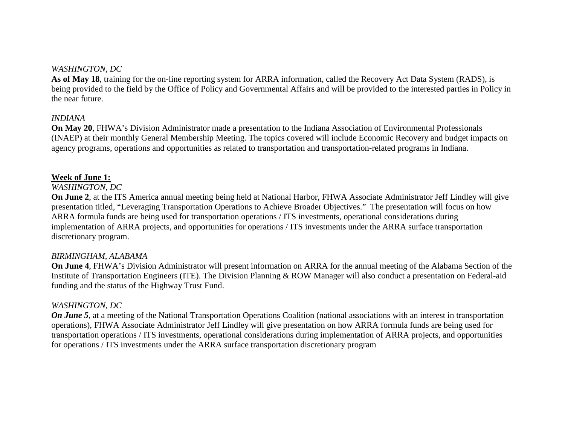# *WASHINGTON, DC*

**As of May 18**, training for the on-line reporting system for ARRA information, called the Recovery Act Data System (RADS), is being provided to the field by the Office of Policy and Governmental Affairs and will be provided to the interested parties in Policy in the near future.

#### *INDIANA*

**On May 20**, FHWA's Division Administrator made a presentation to the Indiana Association of Environmental Professionals (INAEP) at their monthly General Membership Meeting. The topics covered will include Economic Recovery and budget impacts on agency programs, operations and opportunities as related to transportation and transportation-related programs in Indiana.

#### **Week of June 1:**

#### *WASHINGTON, DC*

**On June 2**, at the ITS America annual meeting being held at National Harbor, FHWA Associate Administrator Jeff Lindley will give presentation titled, "Leveraging Transportation Operations to Achieve Broader Objectives." The presentation will focus on how ARRA formula funds are being used for transportation operations / ITS investments, operational considerations during implementation of ARRA projects, and opportunities for operations / ITS investments under the ARRA surface transportation discretionary program.

#### *BIRMINGHAM, ALABAMA*

**On June 4**, FHWA's Division Administrator will present information on ARRA for the annual meeting of the Alabama Section of the Institute of Transportation Engineers (ITE). The Division Planning & ROW Manager will also conduct a presentation on Federal-aid funding and the status of the Highway Trust Fund.

#### *WASHINGTON, DC*

*On June 5*, at a meeting of the National Transportation Operations Coalition (national associations with an interest in transportation operations), FHWA Associate Administrator Jeff Lindley will give presentation on how ARRA formula funds are being used for transportation operations / ITS investments, operational considerations during implementation of ARRA projects, and opportunities for operations / ITS investments under the ARRA surface transportation discretionary program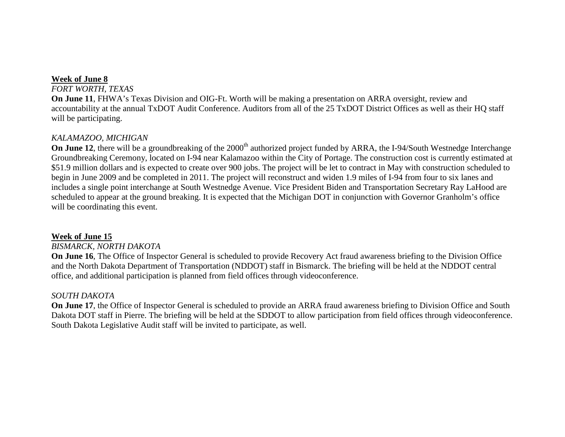#### **Week of June 8**

#### *FORT WORTH, TEXAS*

**On June 11**, FHWA's Texas Division and OIG-Ft. Worth will be making a presentation on ARRA oversight, review and accountability at the annual TxDOT Audit Conference. Auditors from all of the 25 TxDOT District Offices as well as their HQ staff will be participating.

#### *KALAMAZOO, MICHIGAN*

**On June 12**, there will be a groundbreaking of the 2000<sup>th</sup> authorized project funded by ARRA, the I-94/South Westnedge Interchange Groundbreaking Ceremony, located on I-94 near Kalamazoo within the City of Portage. The construction cost is currently estimated at \$51.9 million dollars and is expected to create over 900 jobs. The project will be let to contract in May with construction scheduled to begin in June 2009 and be completed in 2011. The project will reconstruct and widen 1.9 miles of I-94 from four to six lanes and includes a single point interchange at South Westnedge Avenue. Vice President Biden and Transportation Secretary Ray LaHood are scheduled to appear at the ground breaking. It is expected that the Michigan DOT in conjunction with Governor Granholm's office will be coordinating this event.

#### **Week of June 15**

#### *BISMARCK, NORTH DAKOTA*

**On June 16**, The Office of Inspector General is scheduled to provide Recovery Act fraud awareness briefing to the Division Office and the North Dakota Department of Transportation (NDDOT) staff in Bismarck. The briefing will be held at the NDDOT central office, and additional participation is planned from field offices through videoconference.

#### *SOUTH DAKOTA*

**On June 17**, the Office of Inspector General is scheduled to provide an ARRA fraud awareness briefing to Division Office and South Dakota DOT staff in Pierre. The briefing will be held at the SDDOT to allow participation from field offices through videoconference. South Dakota Legislative Audit staff will be invited to participate, as well.